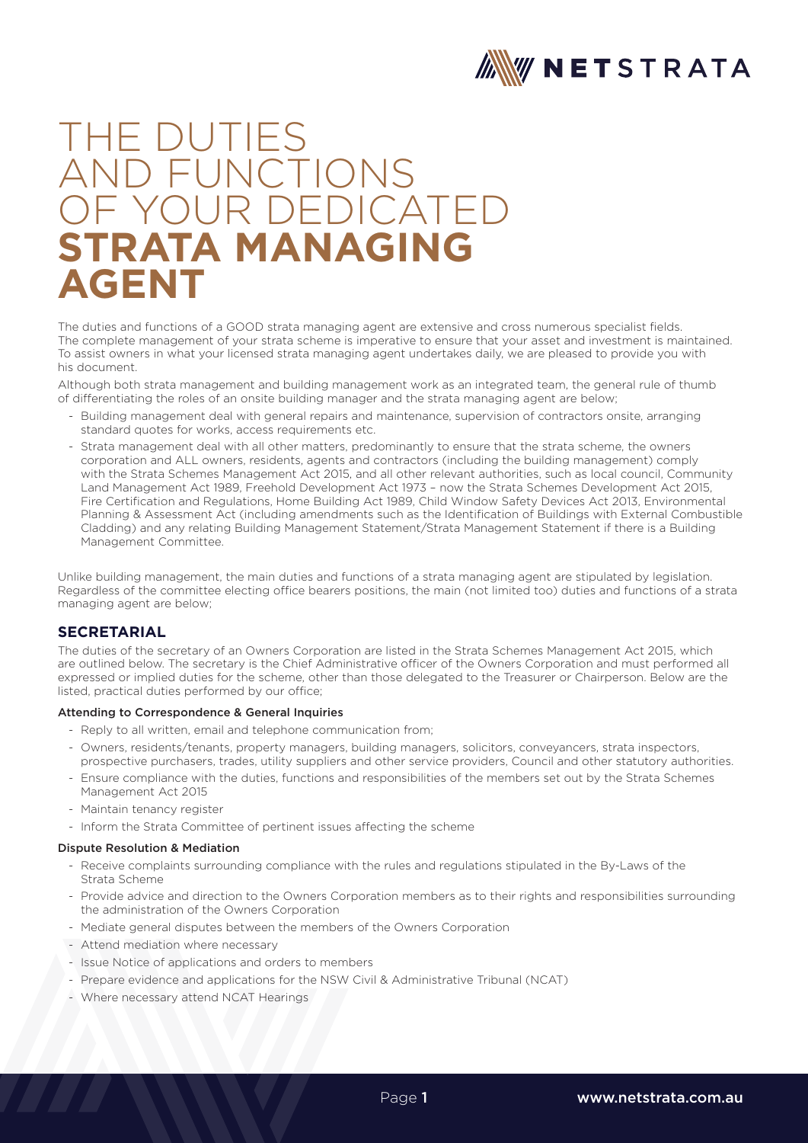

# THE DUTIES AND FUNCTIONS **IF YOUR DEDICATED STRATA MANAGING AGENT**

The duties and functions of a GOOD strata managing agent are extensive and cross numerous specialist fields. The complete management of your strata scheme is imperative to ensure that your asset and investment is maintained. To assist owners in what your licensed strata managing agent undertakes daily, we are pleased to provide you with his document.

Although both strata management and building management work as an integrated team, the general rule of thumb of differentiating the roles of an onsite building manager and the strata managing agent are below;

- Building management deal with general repairs and maintenance, supervision of contractors onsite, arranging standard quotes for works, access requirements etc.
- Strata management deal with all other matters, predominantly to ensure that the strata scheme, the owners corporation and ALL owners, residents, agents and contractors (including the building management) comply with the Strata Schemes Management Act 2015, and all other relevant authorities, such as local council, Community Land Management Act 1989, Freehold Development Act 1973 – now the Strata Schemes Development Act 2015, Fire Certification and Regulations, Home Building Act 1989, Child Window Safety Devices Act 2013, Environmental Planning & Assessment Act (including amendments such as the Identification of Buildings with External Combustible Cladding) and any relating Building Management Statement/Strata Management Statement if there is a Building Management Committee.

Unlike building management, the main duties and functions of a strata managing agent are stipulated by legislation. Regardless of the committee electing office bearers positions, the main (not limited too) duties and functions of a strata managing agent are below;

# **SECRETARIAL**

The duties of the secretary of an Owners Corporation are listed in the Strata Schemes Management Act 2015, which are outlined below. The secretary is the Chief Administrative officer of the Owners Corporation and must performed all expressed or implied duties for the scheme, other than those delegated to the Treasurer or Chairperson. Below are the listed, practical duties performed by our office;

#### Attending to Correspondence & General Inquiries

- Reply to all written, email and telephone communication from;
- Owners, residents/tenants, property managers, building managers, solicitors, conveyancers, strata inspectors, prospective purchasers, trades, utility suppliers and other service providers, Council and other statutory authorities.
- Ensure compliance with the duties, functions and responsibilities of the members set out by the Strata Schemes Management Act 2015
- Maintain tenancy register
- Inform the Strata Committee of pertinent issues affecting the scheme

## Dispute Resolution & Mediation

- Receive complaints surrounding compliance with the rules and regulations stipulated in the By-Laws of the Strata Scheme
- Provide advice and direction to the Owners Corporation members as to their rights and responsibilities surrounding the administration of the Owners Corporation
- Mediate general disputes between the members of the Owners Corporation
- Attend mediation where necessary
- Issue Notice of applications and orders to members
- Prepare evidence and applications for the NSW Civil & Administrative Tribunal (NCAT)
- Where necessary attend NCAT Hearings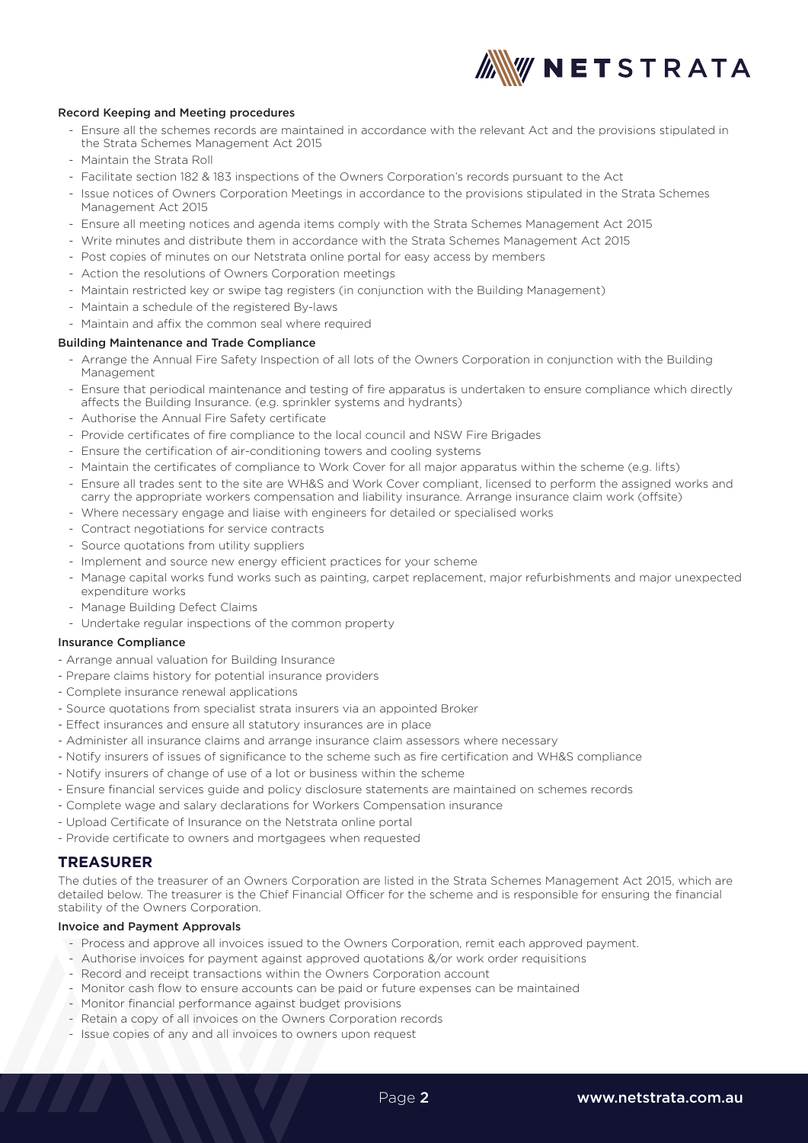

### Record Keeping and Meeting procedures

- Ensure all the schemes records are maintained in accordance with the relevant Act and the provisions stipulated in the Strata Schemes Management Act 2015
- Maintain the Strata Roll
- Facilitate section 182 & 183 inspections of the Owners Corporation's records pursuant to the Act
- Issue notices of Owners Corporation Meetings in accordance to the provisions stipulated in the Strata Schemes Management Act 2015
- Ensure all meeting notices and agenda items comply with the Strata Schemes Management Act 2015
- Write minutes and distribute them in accordance with the Strata Schemes Management Act 2015
- Post copies of minutes on our Netstrata online portal for easy access by members
- Action the resolutions of Owners Corporation meetings
- Maintain restricted key or swipe tag registers (in conjunction with the Building Management)
- Maintain a schedule of the registered By-laws
- Maintain and affix the common seal where required

### Building Maintenance and Trade Compliance

- Arrange the Annual Fire Safety Inspection of all lots of the Owners Corporation in conjunction with the Building Management
- Ensure that periodical maintenance and testing of fire apparatus is undertaken to ensure compliance which directly affects the Building Insurance. (e.g. sprinkler systems and hydrants)
- Authorise the Annual Fire Safety certificate
- Provide certificates of fire compliance to the local council and NSW Fire Brigades
- Ensure the certification of air-conditioning towers and cooling systems
- Maintain the certificates of compliance to Work Cover for all major apparatus within the scheme (e.g. lifts)
- Ensure all trades sent to the site are WH&S and Work Cover compliant, licensed to perform the assigned works and carry the appropriate workers compensation and liability insurance. Arrange insurance claim work (offsite)
- Where necessary engage and liaise with engineers for detailed or specialised works
- Contract negotiations for service contracts
- Source quotations from utility suppliers
- Implement and source new energy efficient practices for your scheme
- Manage capital works fund works such as painting, carpet replacement, major refurbishments and major unexpected expenditure works
- Manage Building Defect Claims
- Undertake regular inspections of the common property

#### Insurance Compliance

- Arrange annual valuation for Building Insurance
- Prepare claims history for potential insurance providers
- Complete insurance renewal applications
- Source quotations from specialist strata insurers via an appointed Broker
- Effect insurances and ensure all statutory insurances are in place
- Administer all insurance claims and arrange insurance claim assessors where necessary
- Notify insurers of issues of significance to the scheme such as fire certification and WH&S compliance
- Notify insurers of change of use of a lot or business within the scheme
- Ensure financial services guide and policy disclosure statements are maintained on schemes records
- Complete wage and salary declarations for Workers Compensation insurance
- Upload Certificate of Insurance on the Netstrata online portal
- Provide certificate to owners and mortgagees when requested

# **TREASURER**

The duties of the treasurer of an Owners Corporation are listed in the Strata Schemes Management Act 2015, which are detailed below. The treasurer is the Chief Financial Officer for the scheme and is responsible for ensuring the financial stability of the Owners Corporation.

## Invoice and Payment Approvals

- Process and approve all invoices issued to the Owners Corporation, remit each approved payment.
- Authorise invoices for payment against approved quotations &/or work order requisitions
- Record and receipt transactions within the Owners Corporation account
- Monitor cash flow to ensure accounts can be paid or future expenses can be maintained
- Monitor financial performance against budget provisions
- Retain a copy of all invoices on the Owners Corporation records
- Issue copies of any and all invoices to owners upon request